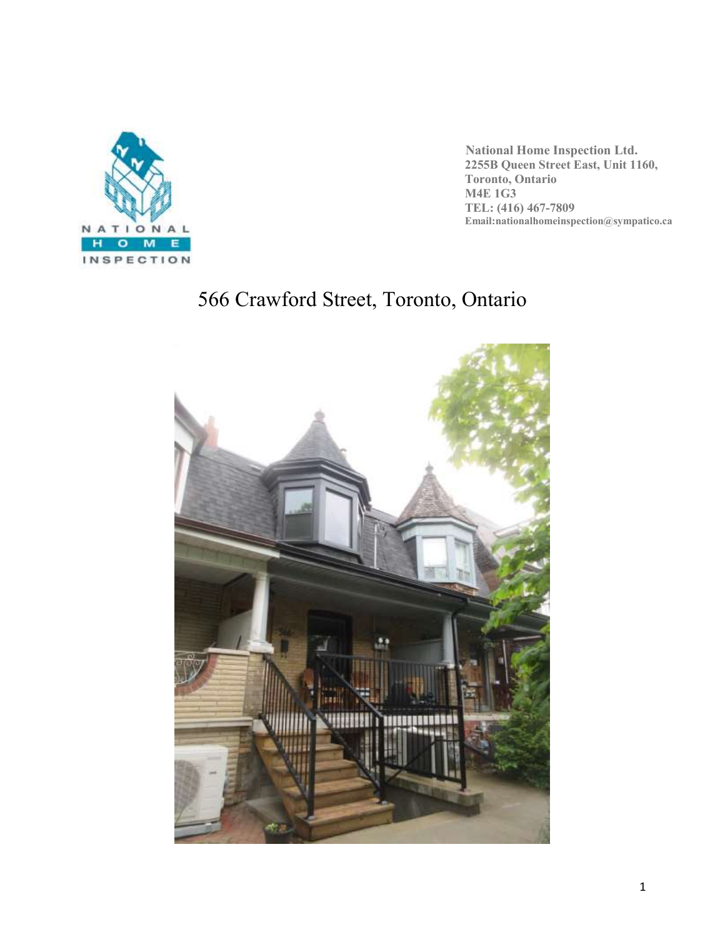

 **National Home Inspection Ltd. 2255B Queen Street East, Unit 1160, Toronto, Ontario M4E 1G3 TEL: (416) 467-7809 Email:nationalhomeinspection@sympatico.ca**

# 566 Crawford Street, Toronto, Ontario

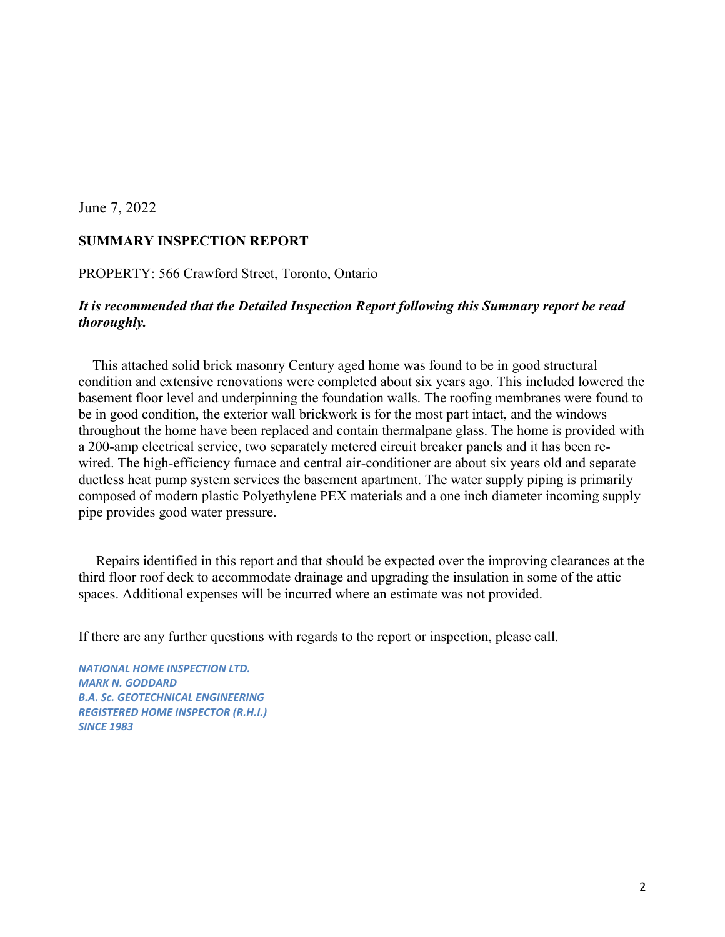#### June 7, 2022

#### **SUMMARY INSPECTION REPORT**

PROPERTY: 566 Crawford Street, Toronto, Ontario

#### *It is recommended that the Detailed Inspection Report following this Summary report be read thoroughly.*

 This attached solid brick masonry Century aged home was found to be in good structural condition and extensive renovations were completed about six years ago. This included lowered the basement floor level and underpinning the foundation walls. The roofing membranes were found to be in good condition, the exterior wall brickwork is for the most part intact, and the windows throughout the home have been replaced and contain thermalpane glass. The home is provided with a 200-amp electrical service, two separately metered circuit breaker panels and it has been rewired. The high-efficiency furnace and central air-conditioner are about six years old and separate ductless heat pump system services the basement apartment. The water supply piping is primarily composed of modern plastic Polyethylene PEX materials and a one inch diameter incoming supply pipe provides good water pressure.

 Repairs identified in this report and that should be expected over the improving clearances at the third floor roof deck to accommodate drainage and upgrading the insulation in some of the attic spaces. Additional expenses will be incurred where an estimate was not provided.

If there are any further questions with regards to the report or inspection, please call.

*NATIONAL HOME INSPECTION LTD. MARK N. GODDARD B.A. Sc. GEOTECHNICAL ENGINEERING REGISTERED HOME INSPECTOR (R.H.I.) SINCE 1983*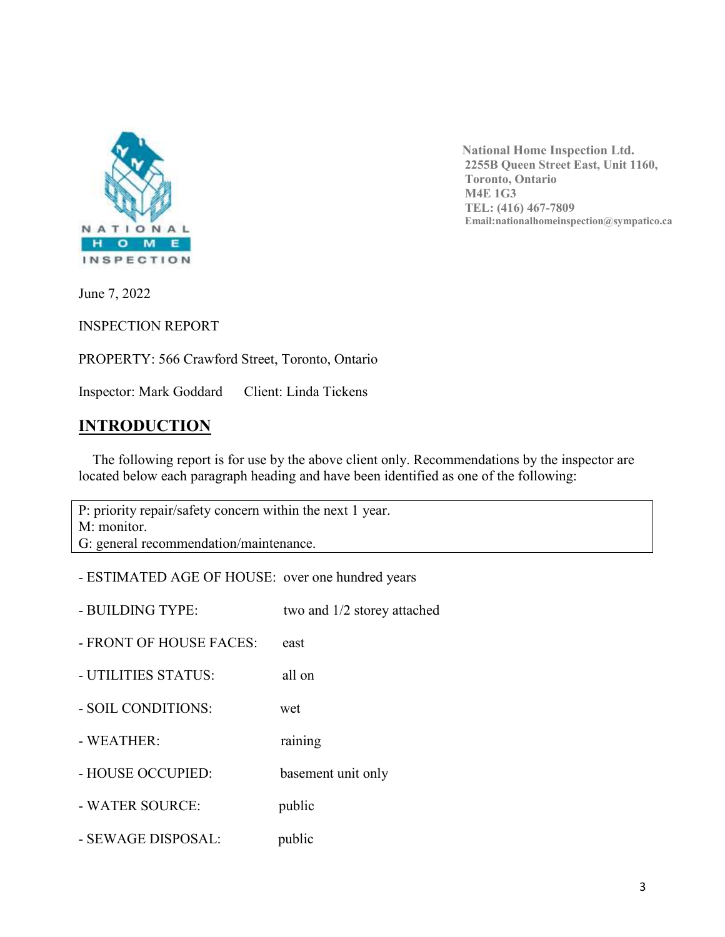

 **National Home Inspection Ltd. 2255B Queen Street East, Unit 1160, Toronto, Ontario M4E 1G3 TEL: (416) 467-7809 Email:nationalhomeinspection@sympatico.ca**

June 7, 2022

INSPECTION REPORT

PROPERTY: 566 Crawford Street, Toronto, Ontario

Inspector: Mark Goddard Client: Linda Tickens

# **INTRODUCTION**

 The following report is for use by the above client only. Recommendations by the inspector are located below each paragraph heading and have been identified as one of the following:

P: priority repair/safety concern within the next 1 year. M: monitor. G: general recommendation/maintenance.

- ESTIMATED AGE OF HOUSE: over one hundred years

- BUILDING TYPE: two and  $1/2$  storey attached
- FRONT OF HOUSE FACES: east
- UTILITIES STATUS: all on
- SOIL CONDITIONS: wet
- WEATHER: raining
- HOUSE OCCUPIED: basement unit only
- WATER SOURCE: public
- SEWAGE DISPOSAL: public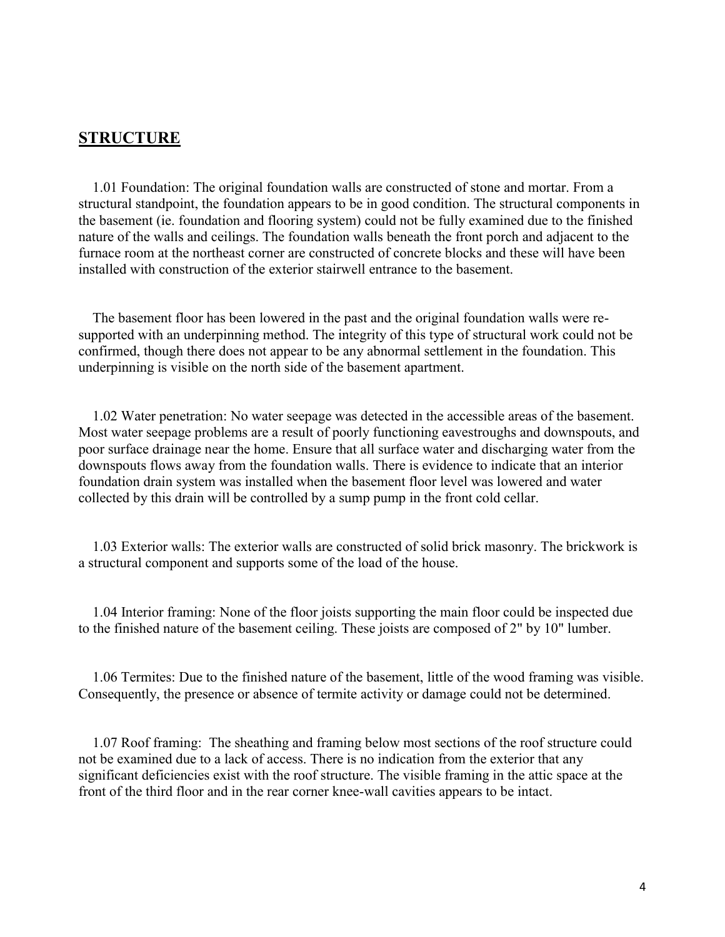#### **STRUCTURE**

 1.01 Foundation: The original foundation walls are constructed of stone and mortar. From a structural standpoint, the foundation appears to be in good condition. The structural components in the basement (ie. foundation and flooring system) could not be fully examined due to the finished nature of the walls and ceilings. The foundation walls beneath the front porch and adjacent to the furnace room at the northeast corner are constructed of concrete blocks and these will have been installed with construction of the exterior stairwell entrance to the basement.

 The basement floor has been lowered in the past and the original foundation walls were resupported with an underpinning method. The integrity of this type of structural work could not be confirmed, though there does not appear to be any abnormal settlement in the foundation. This underpinning is visible on the north side of the basement apartment.

 1.02 Water penetration: No water seepage was detected in the accessible areas of the basement. Most water seepage problems are a result of poorly functioning eavestroughs and downspouts, and poor surface drainage near the home. Ensure that all surface water and discharging water from the downspouts flows away from the foundation walls. There is evidence to indicate that an interior foundation drain system was installed when the basement floor level was lowered and water collected by this drain will be controlled by a sump pump in the front cold cellar.

 1.03 Exterior walls: The exterior walls are constructed of solid brick masonry. The brickwork is a structural component and supports some of the load of the house.

 1.04 Interior framing: None of the floor joists supporting the main floor could be inspected due to the finished nature of the basement ceiling. These joists are composed of 2" by 10" lumber.

 1.06 Termites: Due to the finished nature of the basement, little of the wood framing was visible. Consequently, the presence or absence of termite activity or damage could not be determined.

 1.07 Roof framing: The sheathing and framing below most sections of the roof structure could not be examined due to a lack of access. There is no indication from the exterior that any significant deficiencies exist with the roof structure. The visible framing in the attic space at the front of the third floor and in the rear corner knee-wall cavities appears to be intact.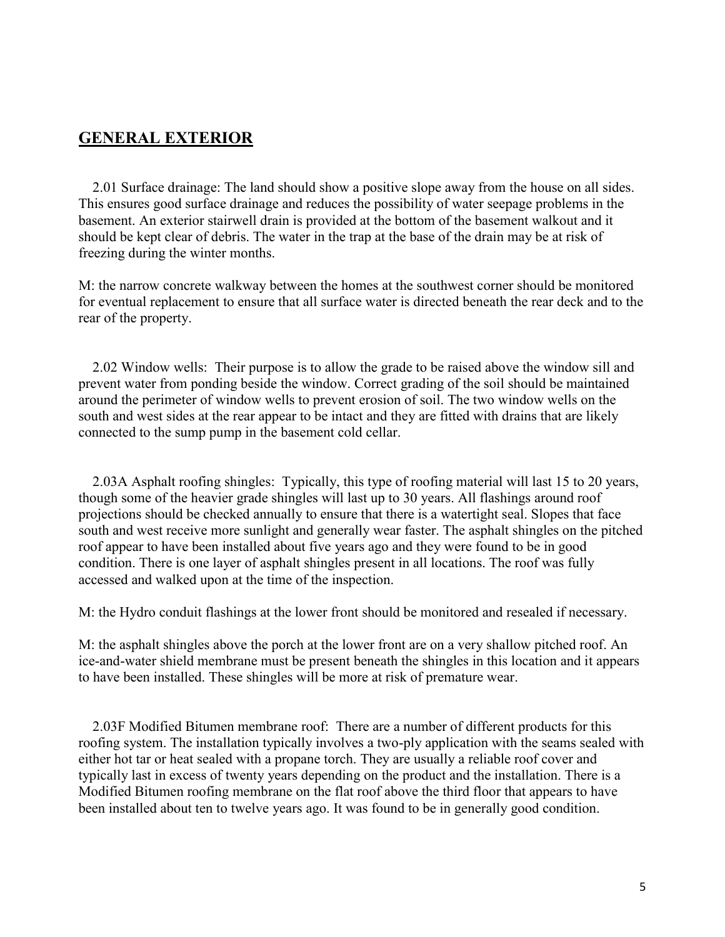## **GENERAL EXTERIOR**

 2.01 Surface drainage: The land should show a positive slope away from the house on all sides. This ensures good surface drainage and reduces the possibility of water seepage problems in the basement. An exterior stairwell drain is provided at the bottom of the basement walkout and it should be kept clear of debris. The water in the trap at the base of the drain may be at risk of freezing during the winter months.

M: the narrow concrete walkway between the homes at the southwest corner should be monitored for eventual replacement to ensure that all surface water is directed beneath the rear deck and to the rear of the property.

 2.02 Window wells: Their purpose is to allow the grade to be raised above the window sill and prevent water from ponding beside the window. Correct grading of the soil should be maintained around the perimeter of window wells to prevent erosion of soil. The two window wells on the south and west sides at the rear appear to be intact and they are fitted with drains that are likely connected to the sump pump in the basement cold cellar.

 2.03A Asphalt roofing shingles: Typically, this type of roofing material will last 15 to 20 years, though some of the heavier grade shingles will last up to 30 years. All flashings around roof projections should be checked annually to ensure that there is a watertight seal. Slopes that face south and west receive more sunlight and generally wear faster. The asphalt shingles on the pitched roof appear to have been installed about five years ago and they were found to be in good condition. There is one layer of asphalt shingles present in all locations. The roof was fully accessed and walked upon at the time of the inspection.

M: the Hydro conduit flashings at the lower front should be monitored and resealed if necessary.

M: the asphalt shingles above the porch at the lower front are on a very shallow pitched roof. An ice-and-water shield membrane must be present beneath the shingles in this location and it appears to have been installed. These shingles will be more at risk of premature wear.

 2.03F Modified Bitumen membrane roof: There are a number of different products for this roofing system. The installation typically involves a two-ply application with the seams sealed with either hot tar or heat sealed with a propane torch. They are usually a reliable roof cover and typically last in excess of twenty years depending on the product and the installation. There is a Modified Bitumen roofing membrane on the flat roof above the third floor that appears to have been installed about ten to twelve years ago. It was found to be in generally good condition.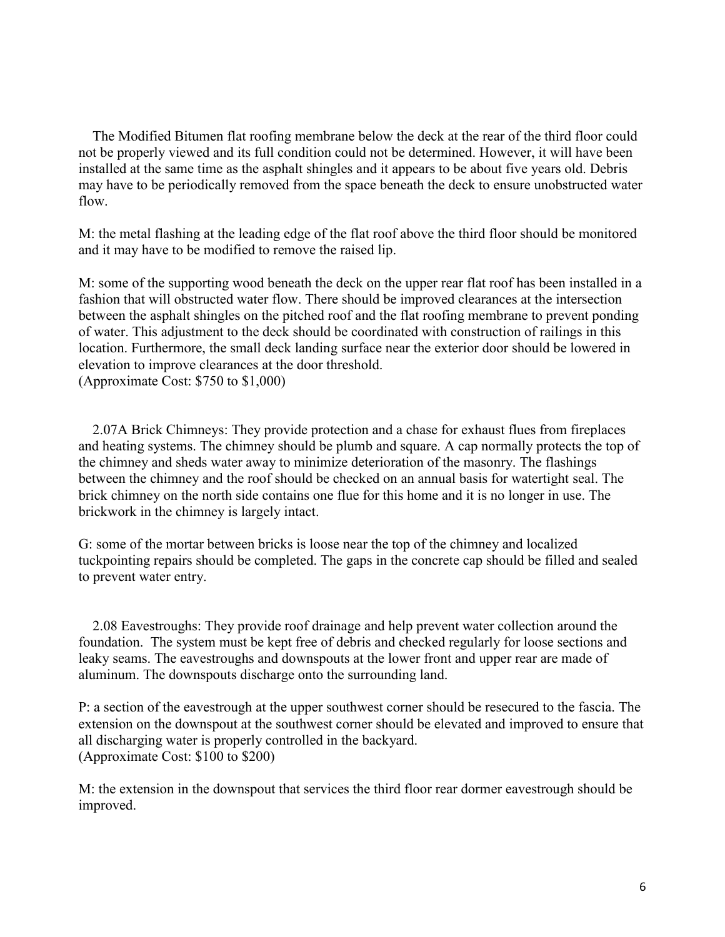The Modified Bitumen flat roofing membrane below the deck at the rear of the third floor could not be properly viewed and its full condition could not be determined. However, it will have been installed at the same time as the asphalt shingles and it appears to be about five years old. Debris may have to be periodically removed from the space beneath the deck to ensure unobstructed water flow.

M: the metal flashing at the leading edge of the flat roof above the third floor should be monitored and it may have to be modified to remove the raised lip.

M: some of the supporting wood beneath the deck on the upper rear flat roof has been installed in a fashion that will obstructed water flow. There should be improved clearances at the intersection between the asphalt shingles on the pitched roof and the flat roofing membrane to prevent ponding of water. This adjustment to the deck should be coordinated with construction of railings in this location. Furthermore, the small deck landing surface near the exterior door should be lowered in elevation to improve clearances at the door threshold. (Approximate Cost: \$750 to \$1,000)

 2.07A Brick Chimneys: They provide protection and a chase for exhaust flues from fireplaces and heating systems. The chimney should be plumb and square. A cap normally protects the top of the chimney and sheds water away to minimize deterioration of the masonry. The flashings between the chimney and the roof should be checked on an annual basis for watertight seal. The brick chimney on the north side contains one flue for this home and it is no longer in use. The brickwork in the chimney is largely intact.

G: some of the mortar between bricks is loose near the top of the chimney and localized tuckpointing repairs should be completed. The gaps in the concrete cap should be filled and sealed to prevent water entry.

 2.08 Eavestroughs: They provide roof drainage and help prevent water collection around the foundation. The system must be kept free of debris and checked regularly for loose sections and leaky seams. The eavestroughs and downspouts at the lower front and upper rear are made of aluminum. The downspouts discharge onto the surrounding land.

P: a section of the eavestrough at the upper southwest corner should be resecured to the fascia. The extension on the downspout at the southwest corner should be elevated and improved to ensure that all discharging water is properly controlled in the backyard. (Approximate Cost: \$100 to \$200)

M: the extension in the downspout that services the third floor rear dormer eavestrough should be improved.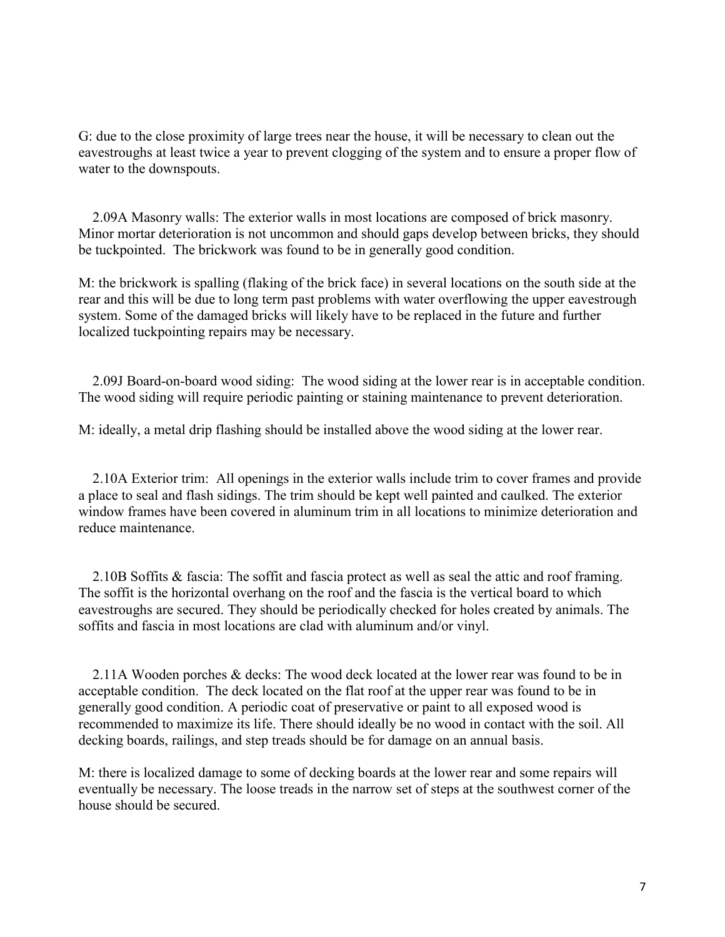G: due to the close proximity of large trees near the house, it will be necessary to clean out the eavestroughs at least twice a year to prevent clogging of the system and to ensure a proper flow of water to the downspouts.

 2.09A Masonry walls: The exterior walls in most locations are composed of brick masonry. Minor mortar deterioration is not uncommon and should gaps develop between bricks, they should be tuckpointed. The brickwork was found to be in generally good condition.

M: the brickwork is spalling (flaking of the brick face) in several locations on the south side at the rear and this will be due to long term past problems with water overflowing the upper eavestrough system. Some of the damaged bricks will likely have to be replaced in the future and further localized tuckpointing repairs may be necessary.

 2.09J Board-on-board wood siding: The wood siding at the lower rear is in acceptable condition. The wood siding will require periodic painting or staining maintenance to prevent deterioration.

M: ideally, a metal drip flashing should be installed above the wood siding at the lower rear.

 2.10A Exterior trim: All openings in the exterior walls include trim to cover frames and provide a place to seal and flash sidings. The trim should be kept well painted and caulked. The exterior window frames have been covered in aluminum trim in all locations to minimize deterioration and reduce maintenance.

 2.10B Soffits & fascia: The soffit and fascia protect as well as seal the attic and roof framing. The soffit is the horizontal overhang on the roof and the fascia is the vertical board to which eavestroughs are secured. They should be periodically checked for holes created by animals. The soffits and fascia in most locations are clad with aluminum and/or vinyl.

 2.11A Wooden porches & decks: The wood deck located at the lower rear was found to be in acceptable condition. The deck located on the flat roof at the upper rear was found to be in generally good condition. A periodic coat of preservative or paint to all exposed wood is recommended to maximize its life. There should ideally be no wood in contact with the soil. All decking boards, railings, and step treads should be for damage on an annual basis.

M: there is localized damage to some of decking boards at the lower rear and some repairs will eventually be necessary. The loose treads in the narrow set of steps at the southwest corner of the house should be secured.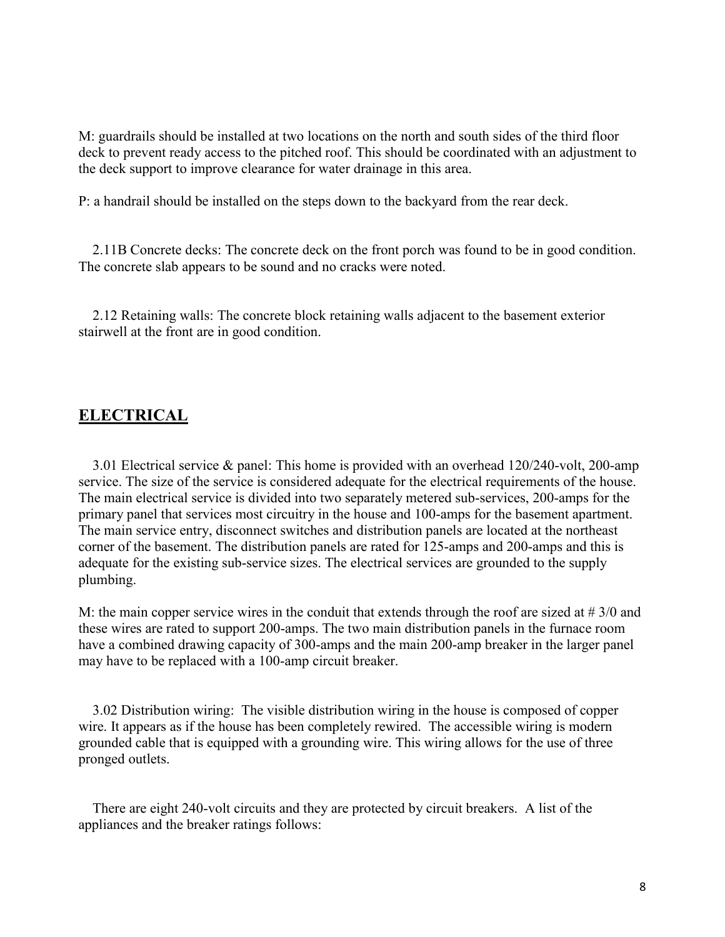M: guardrails should be installed at two locations on the north and south sides of the third floor deck to prevent ready access to the pitched roof. This should be coordinated with an adjustment to the deck support to improve clearance for water drainage in this area.

P: a handrail should be installed on the steps down to the backyard from the rear deck.

 2.11B Concrete decks: The concrete deck on the front porch was found to be in good condition. The concrete slab appears to be sound and no cracks were noted.

 2.12 Retaining walls: The concrete block retaining walls adjacent to the basement exterior stairwell at the front are in good condition.

### **ELECTRICAL**

 3.01 Electrical service & panel: This home is provided with an overhead 120/240-volt, 200-amp service. The size of the service is considered adequate for the electrical requirements of the house. The main electrical service is divided into two separately metered sub-services, 200-amps for the primary panel that services most circuitry in the house and 100-amps for the basement apartment. The main service entry, disconnect switches and distribution panels are located at the northeast corner of the basement. The distribution panels are rated for 125-amps and 200-amps and this is adequate for the existing sub-service sizes. The electrical services are grounded to the supply plumbing.

M: the main copper service wires in the conduit that extends through the roof are sized at # 3/0 and these wires are rated to support 200-amps. The two main distribution panels in the furnace room have a combined drawing capacity of 300-amps and the main 200-amp breaker in the larger panel may have to be replaced with a 100-amp circuit breaker.

 3.02 Distribution wiring: The visible distribution wiring in the house is composed of copper wire. It appears as if the house has been completely rewired. The accessible wiring is modern grounded cable that is equipped with a grounding wire. This wiring allows for the use of three pronged outlets.

 There are eight 240-volt circuits and they are protected by circuit breakers. A list of the appliances and the breaker ratings follows: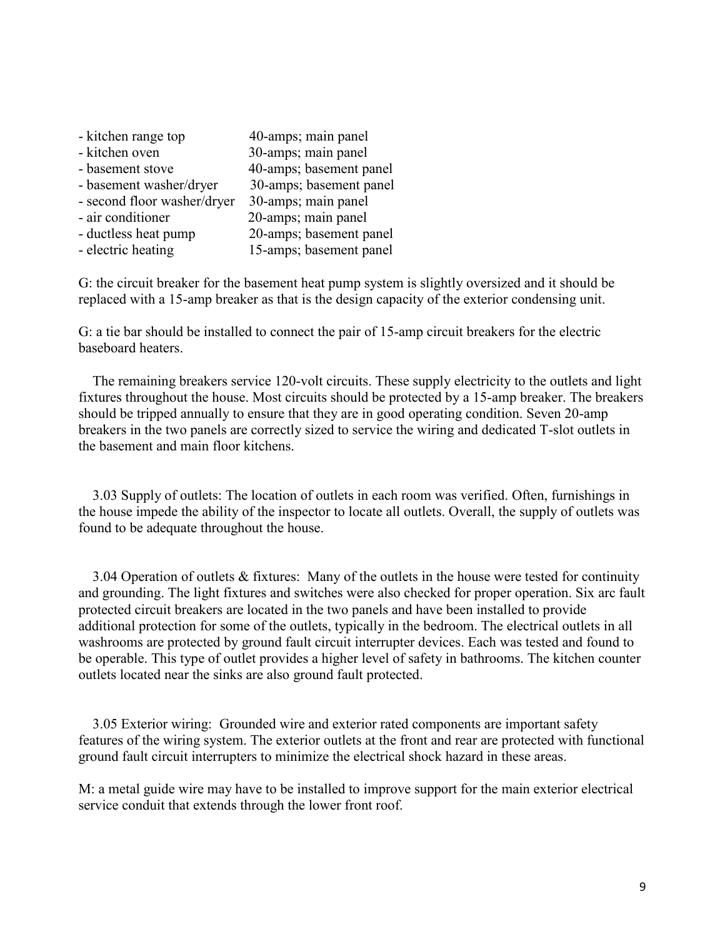| - kitchen range top         | 40-amps; main panel     |
|-----------------------------|-------------------------|
| - kitchen oven              | 30-amps; main panel     |
| - basement stove            | 40-amps; basement panel |
| - basement washer/dryer     | 30-amps; basement panel |
| - second floor washer/dryer | 30-amps; main panel     |
| - air conditioner           | 20-amps; main panel     |
| - ductless heat pump        | 20-amps; basement panel |
| - electric heating          | 15-amps; basement panel |
|                             |                         |

G: the circuit breaker for the basement heat pump system is slightly oversized and it should be replaced with a 15-amp breaker as that is the design capacity of the exterior condensing unit.

G: a tie bar should be installed to connect the pair of 15-amp circuit breakers for the electric baseboard heaters.

 The remaining breakers service 120-volt circuits. These supply electricity to the outlets and light fixtures throughout the house. Most circuits should be protected by a 15-amp breaker. The breakers should be tripped annually to ensure that they are in good operating condition. Seven 20-amp breakers in the two panels are correctly sized to service the wiring and dedicated T-slot outlets in the basement and main floor kitchens.

 3.03 Supply of outlets: The location of outlets in each room was verified. Often, furnishings in the house impede the ability of the inspector to locate all outlets. Overall, the supply of outlets was found to be adequate throughout the house.

 3.04 Operation of outlets & fixtures: Many of the outlets in the house were tested for continuity and grounding. The light fixtures and switches were also checked for proper operation. Six arc fault protected circuit breakers are located in the two panels and have been installed to provide additional protection for some of the outlets, typically in the bedroom. The electrical outlets in all washrooms are protected by ground fault circuit interrupter devices. Each was tested and found to be operable. This type of outlet provides a higher level of safety in bathrooms. The kitchen counter outlets located near the sinks are also ground fault protected.

 3.05 Exterior wiring: Grounded wire and exterior rated components are important safety features of the wiring system. The exterior outlets at the front and rear are protected with functional ground fault circuit interrupters to minimize the electrical shock hazard in these areas.

M: a metal guide wire may have to be installed to improve support for the main exterior electrical service conduit that extends through the lower front roof.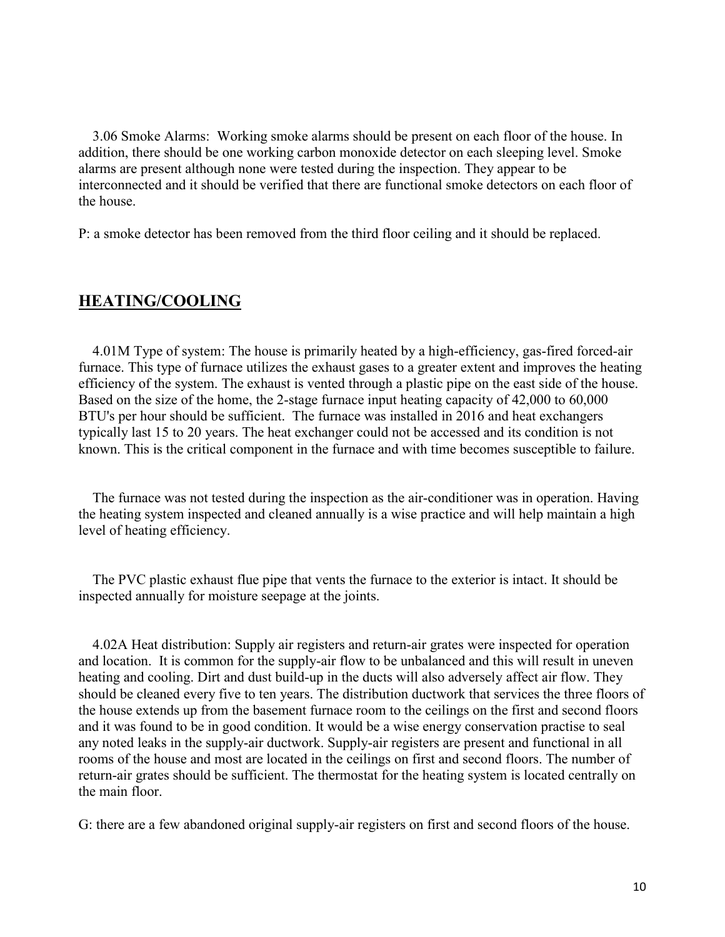3.06 Smoke Alarms: Working smoke alarms should be present on each floor of the house. In addition, there should be one working carbon monoxide detector on each sleeping level. Smoke alarms are present although none were tested during the inspection. They appear to be interconnected and it should be verified that there are functional smoke detectors on each floor of the house.

P: a smoke detector has been removed from the third floor ceiling and it should be replaced.

## **HEATING/COOLING**

 4.01M Type of system: The house is primarily heated by a high-efficiency, gas-fired forced-air furnace. This type of furnace utilizes the exhaust gases to a greater extent and improves the heating efficiency of the system. The exhaust is vented through a plastic pipe on the east side of the house. Based on the size of the home, the 2-stage furnace input heating capacity of 42,000 to 60,000 BTU's per hour should be sufficient. The furnace was installed in 2016 and heat exchangers typically last 15 to 20 years. The heat exchanger could not be accessed and its condition is not known. This is the critical component in the furnace and with time becomes susceptible to failure.

 The furnace was not tested during the inspection as the air-conditioner was in operation. Having the heating system inspected and cleaned annually is a wise practice and will help maintain a high level of heating efficiency.

 The PVC plastic exhaust flue pipe that vents the furnace to the exterior is intact. It should be inspected annually for moisture seepage at the joints.

 4.02A Heat distribution: Supply air registers and return-air grates were inspected for operation and location. It is common for the supply-air flow to be unbalanced and this will result in uneven heating and cooling. Dirt and dust build-up in the ducts will also adversely affect air flow. They should be cleaned every five to ten years. The distribution ductwork that services the three floors of the house extends up from the basement furnace room to the ceilings on the first and second floors and it was found to be in good condition. It would be a wise energy conservation practise to seal any noted leaks in the supply-air ductwork. Supply-air registers are present and functional in all rooms of the house and most are located in the ceilings on first and second floors. The number of return-air grates should be sufficient. The thermostat for the heating system is located centrally on the main floor.

G: there are a few abandoned original supply-air registers on first and second floors of the house.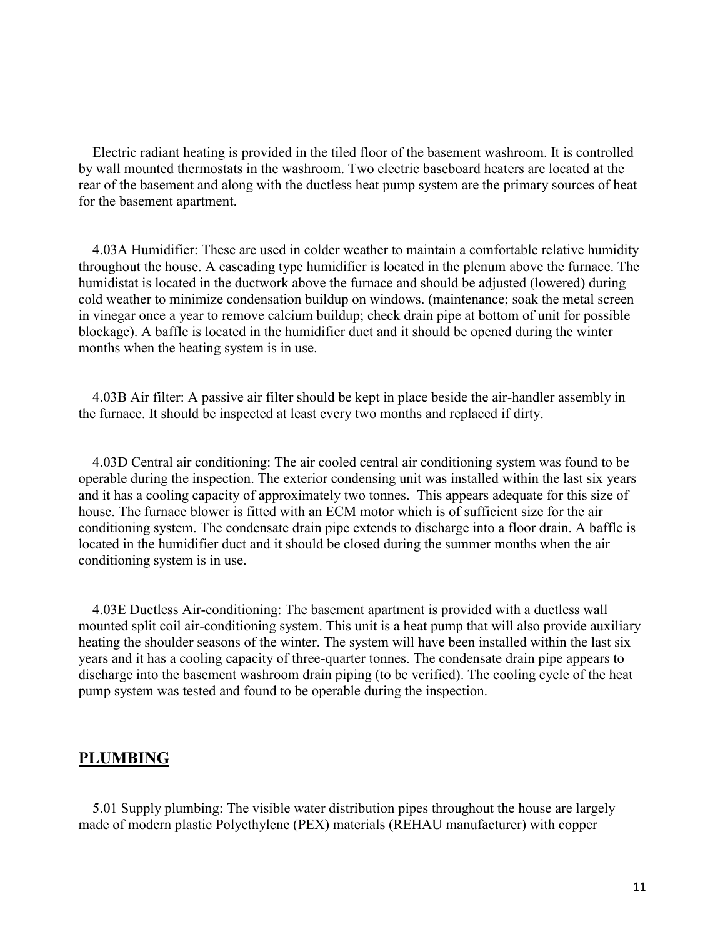Electric radiant heating is provided in the tiled floor of the basement washroom. It is controlled by wall mounted thermostats in the washroom. Two electric baseboard heaters are located at the rear of the basement and along with the ductless heat pump system are the primary sources of heat for the basement apartment.

 4.03A Humidifier: These are used in colder weather to maintain a comfortable relative humidity throughout the house. A cascading type humidifier is located in the plenum above the furnace. The humidistat is located in the ductwork above the furnace and should be adjusted (lowered) during cold weather to minimize condensation buildup on windows. (maintenance; soak the metal screen in vinegar once a year to remove calcium buildup; check drain pipe at bottom of unit for possible blockage). A baffle is located in the humidifier duct and it should be opened during the winter months when the heating system is in use.

 4.03B Air filter: A passive air filter should be kept in place beside the air-handler assembly in the furnace. It should be inspected at least every two months and replaced if dirty.

 4.03D Central air conditioning: The air cooled central air conditioning system was found to be operable during the inspection. The exterior condensing unit was installed within the last six years and it has a cooling capacity of approximately two tonnes. This appears adequate for this size of house. The furnace blower is fitted with an ECM motor which is of sufficient size for the air conditioning system. The condensate drain pipe extends to discharge into a floor drain. A baffle is located in the humidifier duct and it should be closed during the summer months when the air conditioning system is in use.

 4.03E Ductless Air-conditioning: The basement apartment is provided with a ductless wall mounted split coil air-conditioning system. This unit is a heat pump that will also provide auxiliary heating the shoulder seasons of the winter. The system will have been installed within the last six years and it has a cooling capacity of three-quarter tonnes. The condensate drain pipe appears to discharge into the basement washroom drain piping (to be verified). The cooling cycle of the heat pump system was tested and found to be operable during the inspection.

#### **PLUMBING**

 5.01 Supply plumbing: The visible water distribution pipes throughout the house are largely made of modern plastic Polyethylene (PEX) materials (REHAU manufacturer) with copper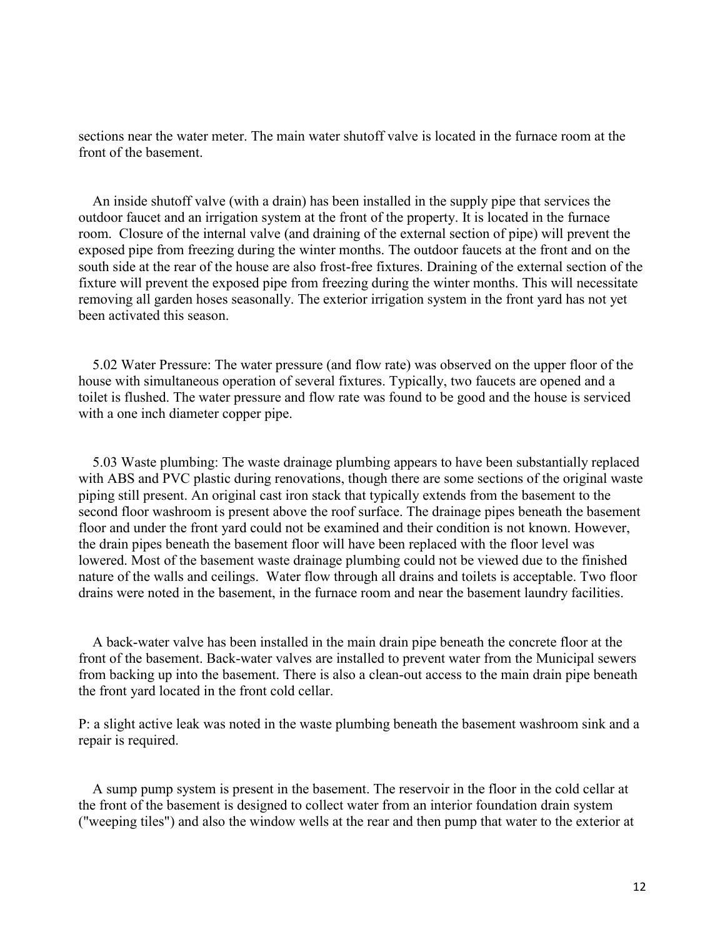sections near the water meter. The main water shutoff valve is located in the furnace room at the front of the basement.

 An inside shutoff valve (with a drain) has been installed in the supply pipe that services the outdoor faucet and an irrigation system at the front of the property. It is located in the furnace room. Closure of the internal valve (and draining of the external section of pipe) will prevent the exposed pipe from freezing during the winter months. The outdoor faucets at the front and on the south side at the rear of the house are also frost-free fixtures. Draining of the external section of the fixture will prevent the exposed pipe from freezing during the winter months. This will necessitate removing all garden hoses seasonally. The exterior irrigation system in the front yard has not yet been activated this season.

 5.02 Water Pressure: The water pressure (and flow rate) was observed on the upper floor of the house with simultaneous operation of several fixtures. Typically, two faucets are opened and a toilet is flushed. The water pressure and flow rate was found to be good and the house is serviced with a one inch diameter copper pipe.

 5.03 Waste plumbing: The waste drainage plumbing appears to have been substantially replaced with ABS and PVC plastic during renovations, though there are some sections of the original waste piping still present. An original cast iron stack that typically extends from the basement to the second floor washroom is present above the roof surface. The drainage pipes beneath the basement floor and under the front yard could not be examined and their condition is not known. However, the drain pipes beneath the basement floor will have been replaced with the floor level was lowered. Most of the basement waste drainage plumbing could not be viewed due to the finished nature of the walls and ceilings. Water flow through all drains and toilets is acceptable. Two floor drains were noted in the basement, in the furnace room and near the basement laundry facilities.

 A back-water valve has been installed in the main drain pipe beneath the concrete floor at the front of the basement. Back-water valves are installed to prevent water from the Municipal sewers from backing up into the basement. There is also a clean-out access to the main drain pipe beneath the front yard located in the front cold cellar.

P: a slight active leak was noted in the waste plumbing beneath the basement washroom sink and a repair is required.

 A sump pump system is present in the basement. The reservoir in the floor in the cold cellar at the front of the basement is designed to collect water from an interior foundation drain system ("weeping tiles") and also the window wells at the rear and then pump that water to the exterior at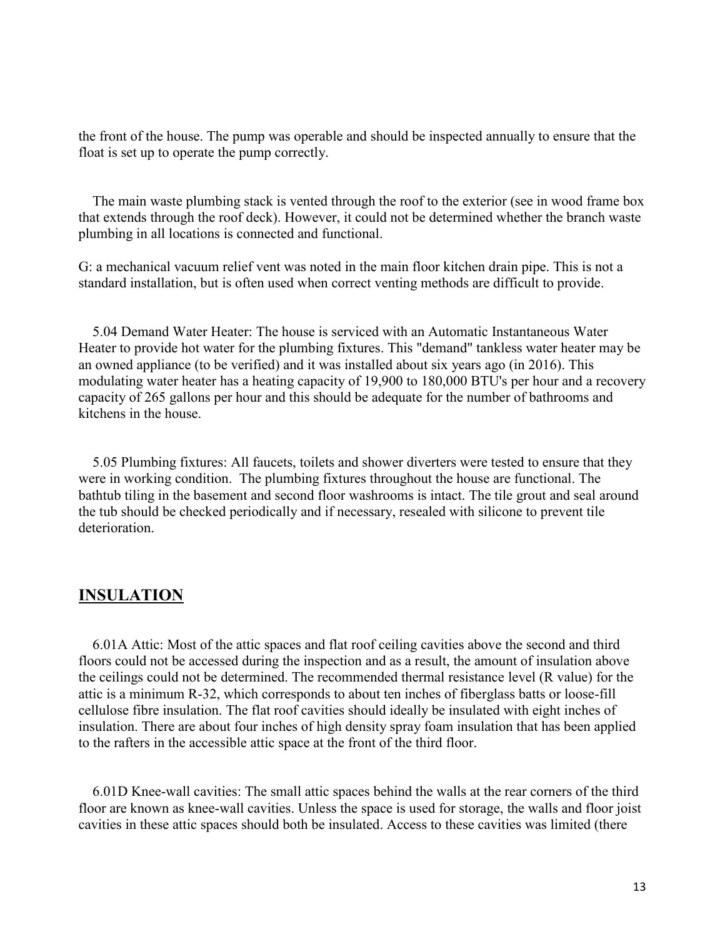the front of the house. The pump was operable and should be inspected annually to ensure that the float is set up to operate the pump correctly.

 The main waste plumbing stack is vented through the roof to the exterior (see in wood frame box that extends through the roof deck). However, it could not be determined whether the branch waste plumbing in all locations is connected and functional.

G: a mechanical vacuum relief vent was noted in the main floor kitchen drain pipe. This is not a standard installation, but is often used when correct venting methods are difficult to provide.

 5.04 Demand Water Heater: The house is serviced with an Automatic Instantaneous Water Heater to provide hot water for the plumbing fixtures. This "demand" tankless water heater may be an owned appliance (to be verified) and it was installed about six years ago (in 2016). This modulating water heater has a heating capacity of 19,900 to 180,000 BTU's per hour and a recovery capacity of 265 gallons per hour and this should be adequate for the number of bathrooms and kitchens in the house.

 5.05 Plumbing fixtures: All faucets, toilets and shower diverters were tested to ensure that they were in working condition. The plumbing fixtures throughout the house are functional. The bathtub tiling in the basement and second floor washrooms is intact. The tile grout and seal around the tub should be checked periodically and if necessary, resealed with silicone to prevent tile deterioration.

#### **INSULATION**

 6.01A Attic: Most of the attic spaces and flat roof ceiling cavities above the second and third floors could not be accessed during the inspection and as a result, the amount of insulation above the ceilings could not be determined. The recommended thermal resistance level (R value) for the attic is a minimum R-32, which corresponds to about ten inches of fiberglass batts or loose-fill cellulose fibre insulation. The flat roof cavities should ideally be insulated with eight inches of insulation. There are about four inches of high density spray foam insulation that has been applied to the rafters in the accessible attic space at the front of the third floor.

 6.01D Knee-wall cavities: The small attic spaces behind the walls at the rear corners of the third floor are known as knee-wall cavities. Unless the space is used for storage, the walls and floor joist cavities in these attic spaces should both be insulated. Access to these cavities was limited (there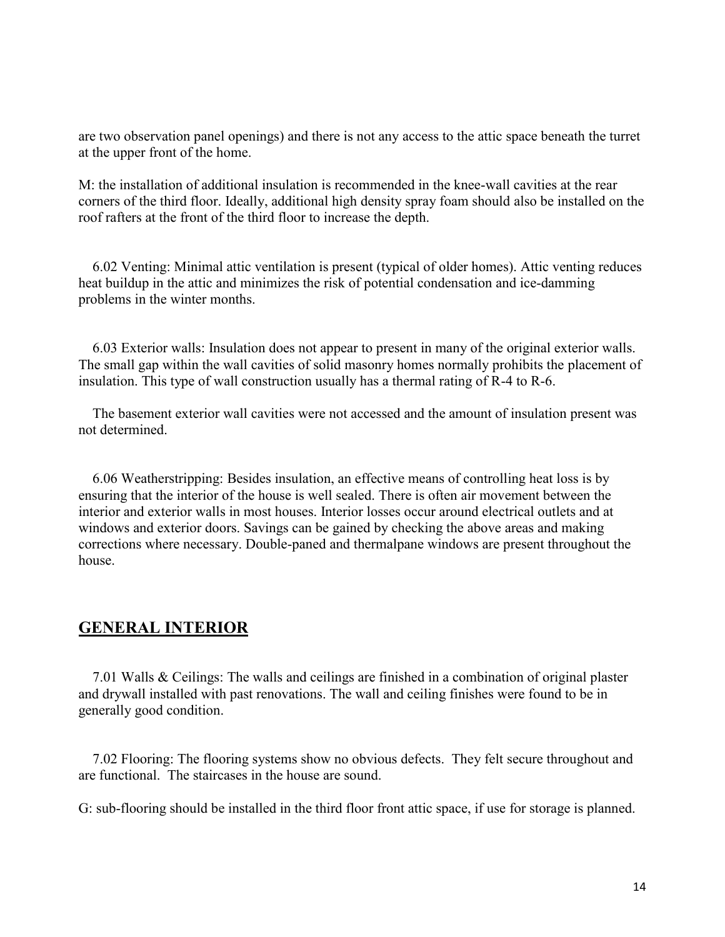are two observation panel openings) and there is not any access to the attic space beneath the turret at the upper front of the home.

M: the installation of additional insulation is recommended in the knee-wall cavities at the rear corners of the third floor. Ideally, additional high density spray foam should also be installed on the roof rafters at the front of the third floor to increase the depth.

 6.02 Venting: Minimal attic ventilation is present (typical of older homes). Attic venting reduces heat buildup in the attic and minimizes the risk of potential condensation and ice-damming problems in the winter months.

 6.03 Exterior walls: Insulation does not appear to present in many of the original exterior walls. The small gap within the wall cavities of solid masonry homes normally prohibits the placement of insulation. This type of wall construction usually has a thermal rating of R-4 to R-6.

 The basement exterior wall cavities were not accessed and the amount of insulation present was not determined.

 6.06 Weatherstripping: Besides insulation, an effective means of controlling heat loss is by ensuring that the interior of the house is well sealed. There is often air movement between the interior and exterior walls in most houses. Interior losses occur around electrical outlets and at windows and exterior doors. Savings can be gained by checking the above areas and making corrections where necessary. Double-paned and thermalpane windows are present throughout the house.

## **GENERAL INTERIOR**

 7.01 Walls & Ceilings: The walls and ceilings are finished in a combination of original plaster and drywall installed with past renovations. The wall and ceiling finishes were found to be in generally good condition.

 7.02 Flooring: The flooring systems show no obvious defects. They felt secure throughout and are functional. The staircases in the house are sound.

G: sub-flooring should be installed in the third floor front attic space, if use for storage is planned.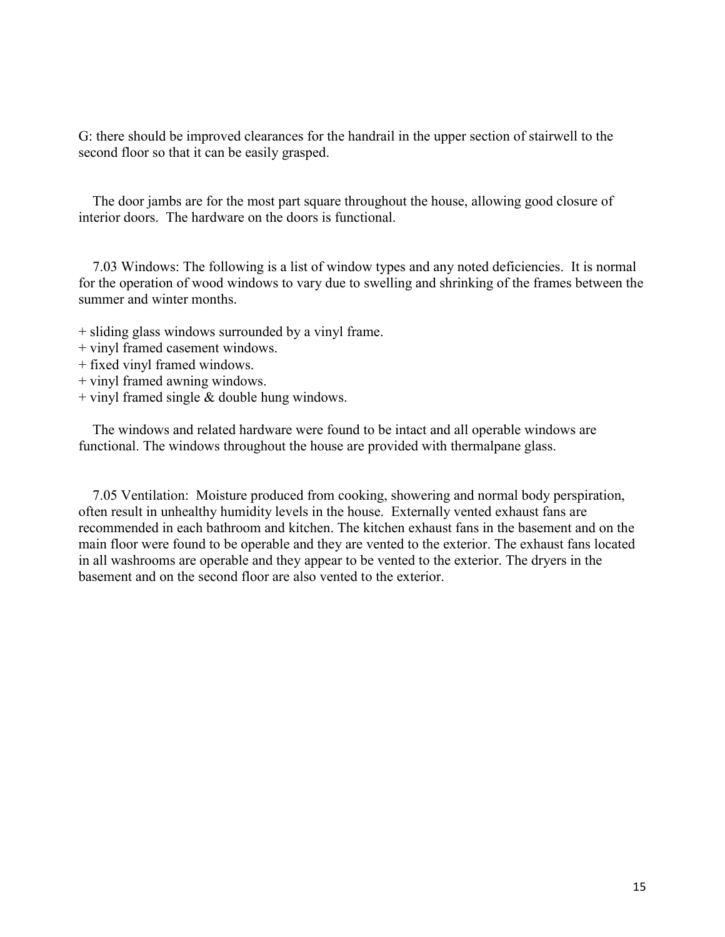G: there should be improved clearances for the handrail in the upper section of stairwell to the second floor so that it can be easily grasped.

 The door jambs are for the most part square throughout the house, allowing good closure of interior doors. The hardware on the doors is functional.

 7.03 Windows: The following is a list of window types and any noted deficiencies. It is normal for the operation of wood windows to vary due to swelling and shrinking of the frames between the summer and winter months.

- + sliding glass windows surrounded by a vinyl frame.
- + vinyl framed casement windows.
- + fixed vinyl framed windows.
- + vinyl framed awning windows.
- $+$  vinyl framed single & double hung windows.

 The windows and related hardware were found to be intact and all operable windows are functional. The windows throughout the house are provided with thermalpane glass.

 7.05 Ventilation: Moisture produced from cooking, showering and normal body perspiration, often result in unhealthy humidity levels in the house. Externally vented exhaust fans are recommended in each bathroom and kitchen. The kitchen exhaust fans in the basement and on the main floor were found to be operable and they are vented to the exterior. The exhaust fans located in all washrooms are operable and they appear to be vented to the exterior. The dryers in the basement and on the second floor are also vented to the exterior.